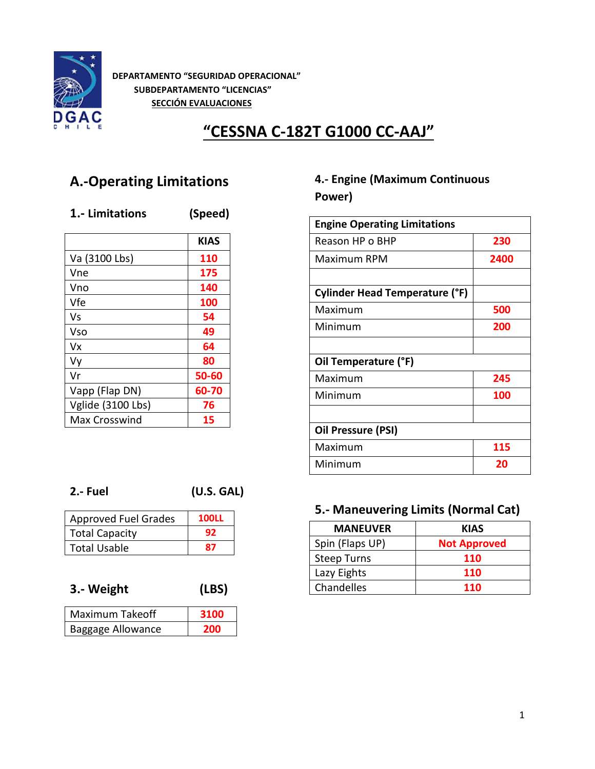

**DEPARTAMENTO "SEGURIDAD OPERACIONAL" SUBDEPARTAMENTO "LICENCIAS" SECCIÓN EVALUACIONES**

# **"CESSNA C-182T G1000 CC-AAJ"**

# **A.-Operating Limitations**

#### **1.- Limitations (Speed)**

|                   | <b>KIAS</b> |
|-------------------|-------------|
| Va (3100 Lbs)     | 110         |
| Vne               | 175         |
| Vno               | 140         |
| Vfe               | 100         |
| Vs                | 54          |
| Vso               | 49          |
| Vx                | 64          |
| Vy                | 80          |
| Vr                | 50-60       |
| Vapp (Flap DN)    | 60-70       |
| Vglide (3100 Lbs) | 76          |
| Max Crosswind     | 15          |

### **4.- Engine (Maximum Continuous Power)**

| <b>Engine Operating Limitations</b>   |      |
|---------------------------------------|------|
| Reason HP o BHP                       | 230  |
| Maximum RPM                           | 2400 |
|                                       |      |
| <b>Cylinder Head Temperature (°F)</b> |      |
| Maximum                               | 500  |
| Minimum                               | 200  |
|                                       |      |
| Oil Temperature (°F)                  |      |
| Maximum                               | 245  |
| Minimum                               | 100  |
|                                       |      |
| Oil Pressure (PSI)                    |      |
| Maximum                               | 115  |
| Minimum                               | 20   |

**2.- Fuel (U.S. GAL)**

| <b>Approved Fuel Grades</b> | <b>100LL</b> |
|-----------------------------|--------------|
| <b>Total Capacity</b>       | 92           |
| Total Usable                | 87           |

#### **3.- Weight (LBS)**

| Maximum Takeoff   | 3100 |
|-------------------|------|
| Baggage Allowance | 200  |

#### **5.- Maneuvering Limits (Normal Cat)**

| <b>MANEUVER</b>    | <b>KIAS</b>         |
|--------------------|---------------------|
| Spin (Flaps UP)    | <b>Not Approved</b> |
| <b>Steep Turns</b> | <b>110</b>          |
| Lazy Eights        | <b>110</b>          |
| Chandelles         | <b>110</b>          |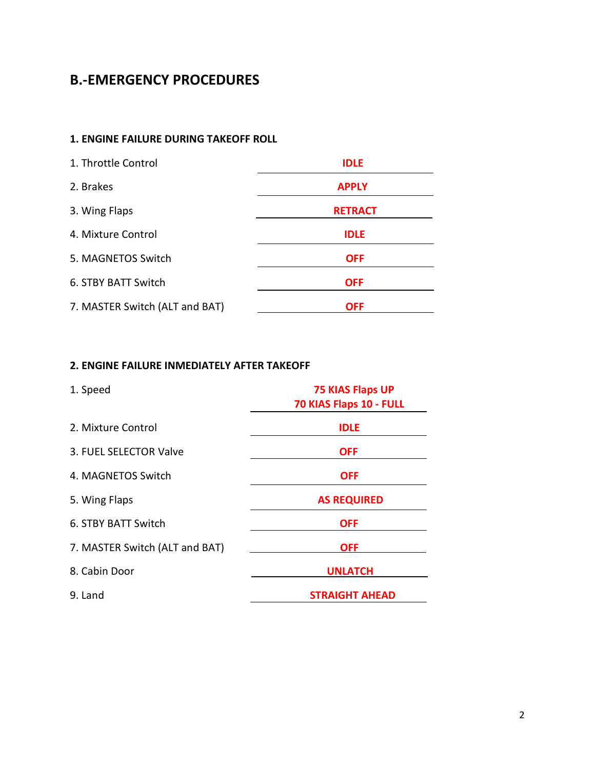## **B.-EMERGENCY PROCEDURES**

#### **1. ENGINE FAILURE DURING TAKEOFF ROLL**

| 1. Throttle Control            | <b>IDLE</b>    |
|--------------------------------|----------------|
| 2. Brakes                      | <b>APPLY</b>   |
| 3. Wing Flaps                  | <b>RETRACT</b> |
| 4. Mixture Control             | <b>IDLE</b>    |
| 5. MAGNETOS Switch             | <b>OFF</b>     |
| 6. STBY BATT Switch            | <b>OFF</b>     |
| 7. MASTER Switch (ALT and BAT) | <b>OFF</b>     |

#### **2. ENGINE FAILURE INMEDIATELY AFTER TAKEOFF**

| 1. Speed                       | <b>75 KIAS Flaps UP</b><br>70 KIAS Flaps 10 - FULL |
|--------------------------------|----------------------------------------------------|
| 2. Mixture Control             | <b>IDLE</b>                                        |
| 3. FUEL SELECTOR Valve         | <b>OFF</b>                                         |
| 4. MAGNETOS Switch             | <b>OFF</b>                                         |
| 5. Wing Flaps                  | <b>AS REQUIRED</b>                                 |
| 6. STBY BATT Switch            | <b>OFF</b>                                         |
| 7. MASTER Switch (ALT and BAT) | <b>OFF</b>                                         |
| 8. Cabin Door                  | <b>UNLATCH</b>                                     |
| 9. Land                        | <b>STRAIGHT AHEAD</b>                              |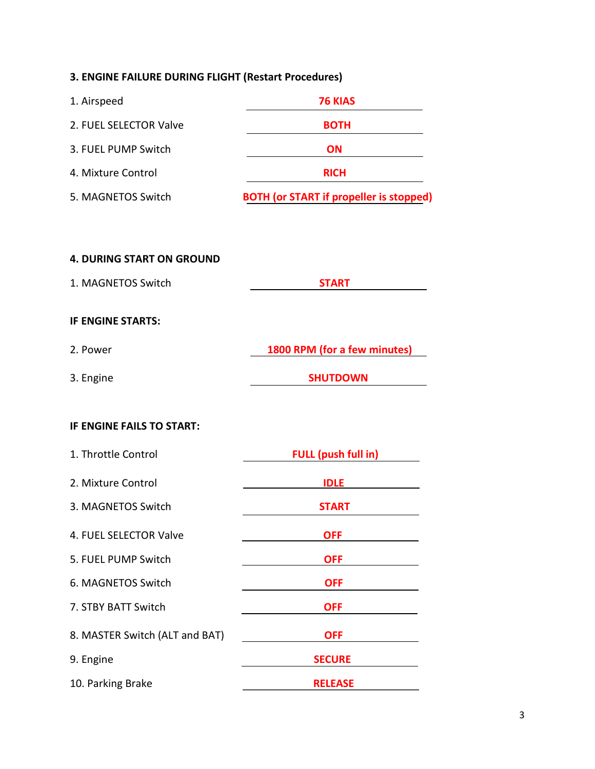#### **3. ENGINE FAILURE DURING FLIGHT (Restart Procedures)**

| 1. Airspeed            | <b>76 KIAS</b>                                 |
|------------------------|------------------------------------------------|
| 2. FUEL SELECTOR Valve | <b>BOTH</b>                                    |
| 3. FUEL PUMP Switch    | <b>ON</b>                                      |
| 4. Mixture Control     | <b>RICH</b>                                    |
| 5. MAGNETOS Switch     | <b>BOTH (or START if propeller is stopped)</b> |

# **4. DURING START ON GROUND** 1. MAGNETOS Switch **START IF ENGINE STARTS:** 2. Power **1800 RPM (for a few minutes)** 3. Engine **SHUTDOWN**

# **IF ENGINE FAILS TO START:**

| 1. Throttle Control            | <b>FULL (push full in)</b> |
|--------------------------------|----------------------------|
| 2. Mixture Control             | <b>IDLE</b>                |
| 3. MAGNETOS Switch             | <b>START</b>               |
| 4. FUEL SELECTOR Valve         | <b>OFF</b>                 |
| 5. FUEL PUMP Switch            | <b>OFF</b>                 |
| 6. MAGNETOS Switch             | <b>OFF</b>                 |
| 7. STBY BATT Switch            | <b>OFF</b>                 |
| 8. MASTER Switch (ALT and BAT) | <b>OFF</b>                 |
| 9. Engine                      | <b>SECURE</b>              |
| 10. Parking Brake              | <b>RELEASE</b>             |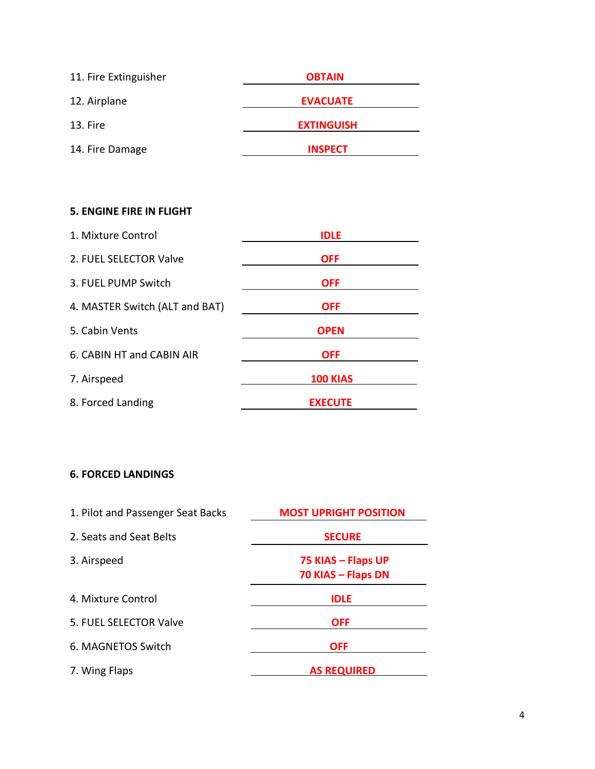| 11. Fire Extinguisher | <b>OBTAIN</b>     |
|-----------------------|-------------------|
| 12. Airplane          | <b>EVACUATE</b>   |
| 13. Fire              | <b>EXTINGUISH</b> |
| 14. Fire Damage       | <b>INSPECT</b>    |

#### **5. ENGINE FIRE IN FLIGHT**

| 1. Mixture Control             | <b>IDLE</b>     |
|--------------------------------|-----------------|
| 2. FUEL SELECTOR Valve         | <b>OFF</b>      |
| 3. FUEL PUMP Switch            | <b>OFF</b>      |
| 4. MASTER Switch (ALT and BAT) | <b>OFF</b>      |
| 5. Cabin Vents                 | <b>OPEN</b>     |
| 6. CABIN HT and CABIN AIR      | <b>OFF</b>      |
| 7. Airspeed                    | <b>100 KIAS</b> |
| 8. Forced Landing              | <b>EXECUTE</b>  |

#### **6. FORCED LANDINGS**

| 1. Pilot and Passenger Seat Backs | <b>MOST UPRIGHT POSITION</b>             |
|-----------------------------------|------------------------------------------|
| 2. Seats and Seat Belts           | <b>SECURE</b>                            |
| 3. Airspeed                       | 75 KIAS - Flaps UP<br>70 KIAS - Flaps DN |
| 4. Mixture Control                | <b>IDLE</b>                              |
| 5. FUEL SELECTOR Valve            | <b>OFF</b>                               |
| 6. MAGNETOS Switch                | <b>OFF</b>                               |
| 7. Wing Flaps                     | <b>AS REQUIRED</b>                       |